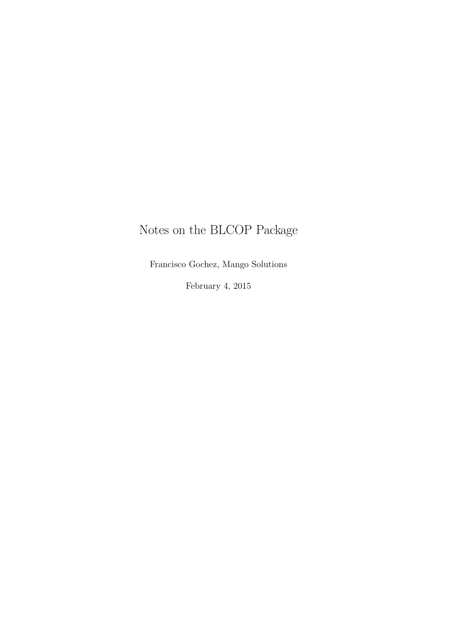# Notes on the BLCOP Package

Francisco Gochez, Mango Solutions

February 4, 2015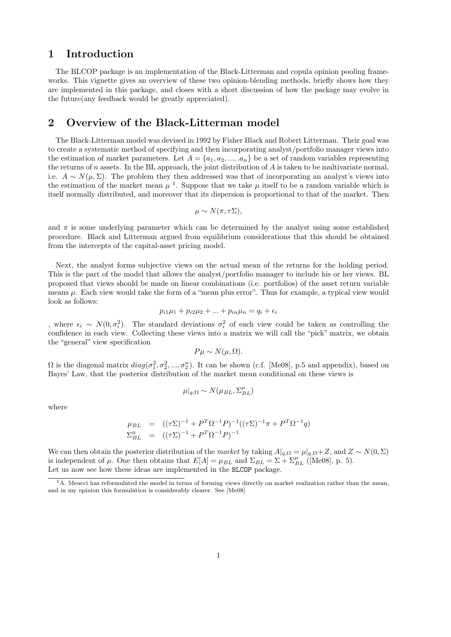### 1 Introduction

The BLCOP package is an implementation of the Black-Litterman and copula opinion pooling frameworks. This vignette gives an overview of these two opinion-blending methods, briefly shows how they are implemented in this package, and closes with a short discussion of how the package may evolve in the future(any feedback would be greatly appreciated).

# 2 Overview of the Black-Litterman model

The Black-Litterman model was devised in 1992 by Fisher Black and Robert Litterman. Their goal was to create a systematic method of specifying and then incorporating analyst/portfolio manager views into the estimation of market parameters. Let  $A = \{a_1, a_2, ..., a_n\}$  be a set of random variables representing the returns of n assets. In the BL approach, the joint distribution of  $A$  is taken to be multivariate normal, i.e.  $A \sim N(\mu, \Sigma)$ . The problem they then addressed was that of incorporating an analyst's views into the estimation of the market mean  $\mu$ <sup>1</sup>. Suppose that we take  $\mu$  itself to be a random variable which is itself normally distributed, and moreover that its dispersion is proportional to that of the market. Then

$$
\mu \sim N(\pi, \tau \Sigma),
$$

and  $\pi$  is some underlying parameter which can be determined by the analyst using some established procedure. Black and Litterman argued from equilibrium considerations that this should be obtained from the intercepts of the capital-asset pricing model.

Next, the analyst forms subjective views on the actual mean of the returns for the holding period. This is the part of the model that allows the analyst/portfolio manager to include his or her views. BL proposed that views should be made on linear combinations (i.e. portfolios) of the asset return variable means  $\mu$ . Each view would take the form of a "mean plus error". Thus for example, a typical view would look as follows:

$$
p_{i1}\mu_1 + p_{i2}\mu_2 + \dots + p_{in}\mu_n = q_i + \epsilon_i
$$

, where  $\epsilon_i$  ∼  $N(0, \sigma_i^2)$ . The standard deviations  $\sigma_i^2$  of each view could be taken as controlling the confidence in each view. Collecting these views into a matrix we will call the "pick" matrix, we obtain the "general" view specification

$$
P\mu \sim N(\mu, \Omega).
$$

 $\Omega$  is the diagonal matrix  $diag(\sigma_1^2, \sigma_2^2, ..., \sigma_2^n)$ . It can be shown (c.f. [Me08], p.5 and appendix), based on Bayes' Law, that the posterior distribution of the market mean conditional on these views is

$$
\mu|_{q;\Omega} \sim N(\mu_{BL},\Sigma_{BL}^{\mu})
$$

where

$$
\mu_{BL} = ((\tau \Sigma)^{-1} + P^T \Omega^{-1} P)^{-1} ((\tau \Sigma)^{-1} \pi + P^T \Omega^{-1} q)
$$
  

$$
\Sigma_{BL}^{\mu} = ((\tau \Sigma)^{-1} + P^T \Omega^{-1} P)^{-1}
$$

We can then obtain the posterior distribution of the market by taking  $A|_{q,\Omega} = \mu|_{q,\Omega} + Z$ , and  $Z \sim N(0,\Sigma)$ is independent of  $\mu$ . One then obtains that  $E[A] = \mu_{BL}$  and  $\Sigma_{BL} = \Sigma + \Sigma_{BL}^{\mu}$  ([Me08], p. 5). Let us now see how these ideas are implemented in the **BLCOP** package.

 $1A$ . Meucci has reformulated the model in terms of forming views directly on market realization rather than the mean, and in my opinion this formulation is considerably clearer. See [Me08]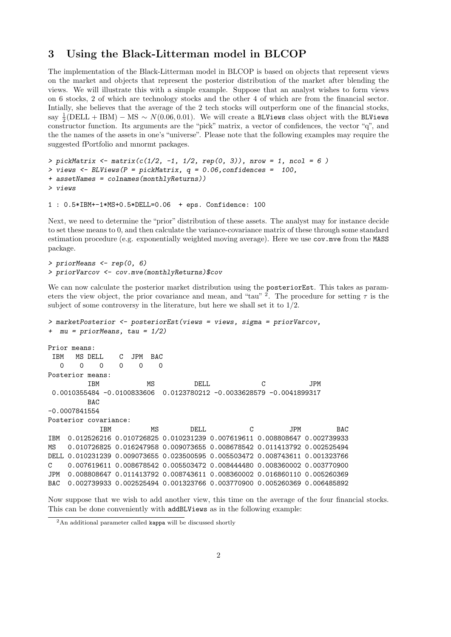### 3 Using the Black-Litterman model in BLCOP

The implementation of the Black-Litterman model in BLCOP is based on objects that represent views on the market and objects that represent the posterior distribution of the market after blending the views. We will illustrate this with a simple example. Suppose that an analyst wishes to form views on 6 stocks, 2 of which are technology stocks and the other 4 of which are from the financial sector. Intially, she believes that the average of the 2 tech stocks will outperform one of the financial stocks, say  $\frac{1}{2}$ (DELL + IBM) – MS ~  $N(0.06, 0.01)$ . We will create a BLViews class object with the BLViews constructor function. Its arguments are the "pick" matrix, a vector of confidences, the vector "q", and the the names of the assets in one's "universe". Please note that the following examples may require the suggested fPortfolio and mnormt packages.

```
> pickMatrix <- matrix(c(1/2, -1, 1/2, rep(0, 3)), nrow = 1, ncol = 6)
> views <- BLViews(P = pickMatrix, q = 0.06, confidences = 100,
+ assetNames = colnames(monthlyReturns))
> views
```

```
1 : 0.5*IBM+-1*MS+0.5*DELL=0.06 + eps. Confidence: 100
```
Next, we need to determine the "prior" distribution of these assets. The analyst may for instance decide to set these means to 0, and then calculate the variance-covariance matrix of these through some standard estimation procedure (e.g. exponentially weighted moving average). Here we use cov.mve from the MASS package.

```
> priorMeans <- rep(0, 6)
> priorVarcov <- cov.mve(monthlyReturns)$cov
```
We can now calculate the posterior market distribution using the posteriorEst. This takes as parameters the view object, the prior covariance and mean, and "tau" <sup>2</sup>. The procedure for setting  $\tau$  is the subject of some controversy in the literature, but here we shall set it to  $1/2$ .

```
> marketPosterior <- posteriorEst(views = views, sigma = priorVarcov,
+ mu = priorMeans, tau = 1/2)
Prior means:
IBM MS DELL C JPM BAC
  0 0 0 0 0 0
Posterior means:
         IBM MS DELL C JPM
0.0010355484 -0.0100833606 0.0123780212 -0.0033628579 -0.0041899317
        BAC
-0.0007841554
Posterior covariance:
           IBM MS DELL C JPM BAC
IBM 0.012526216 0.010726825 0.010231239 0.007619611 0.008808647 0.002739933
MS 0.010726825 0.016247958 0.009073655 0.008678542 0.011413792 0.002525494
DELL 0.010231239 0.009073655 0.023500595 0.005503472 0.008743611 0.001323766
C 0.007619611 0.008678542 0.005503472 0.008444480 0.008360002 0.003770900
JPM 0.008808647 0.011413792 0.008743611 0.008360002 0.016860110 0.005260369
BAC 0.002739933 0.002525494 0.001323766 0.003770900 0.005260369 0.006485892
```
Now suppose that we wish to add another view, this time on the average of the four financial stocks. This can be done conveniently with addBLViews as in the following example:

<sup>2</sup>An additional parameter called kappa will be discussed shortly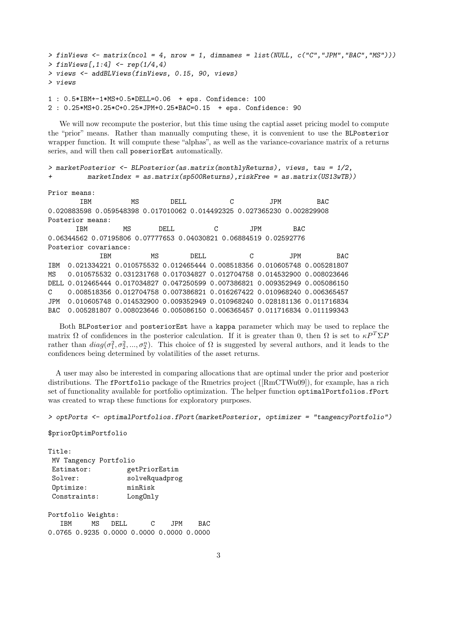```
> finViews \le matrix(ncol = 4, nrow = 1, dimnames = list(NULL, c("C","JPM","BAC","MS")))
> finViews[,1:4] <- rep(1/4,4)
> views <- addBLViews(finViews, 0.15, 90, views)
> views
1 : 0.5*IBM+-1*MS+0.5*DELL=0.06 + eps. Confidence: 100
```
2 : 0.25\*MS+0.25\*C+0.25\*JPM+0.25\*BAC=0.15 + eps. Confidence: 90

We will now recompute the posterior, but this time using the captial asset pricing model to compute the "prior" means. Rather than manually computing these, it is convenient to use the BLPosterior wrapper function. It will compute these "alphas", as well as the variance-covariance matrix of a returns series, and will then call poseriorEst automatically.

> marketPosterior <- BLPosterior(as.matrix(monthlyReturns), views, tau = 1/2,  $marketIndex = as_matrix(sp500Returns),riskFree = as_matrix(US13wTB))$ 

Prior means:

IBM MS DELL C JPM BAC 0.020883598 0.059548398 0.017010062 0.014492325 0.027365230 0.002829908 Posterior means: IBM MS DELL C JPM BAC 0.06344562 0.07195806 0.07777653 0.04030821 0.06884519 0.02592776 Posterior covariance: IBM MS DELL C JPM BAC IBM 0.021334221 0.010575532 0.012465444 0.008518356 0.010605748 0.005281807 MS 0.010575532 0.031231768 0.017034827 0.012704758 0.014532900 0.008023646 DELL 0.012465444 0.017034827 0.047250599 0.007386821 0.009352949 0.005086150 C 0.008518356 0.012704758 0.007386821 0.016267422 0.010968240 0.006365457 JPM 0.010605748 0.014532900 0.009352949 0.010968240 0.028181136 0.011716834 BAC 0.005281807 0.008023646 0.005086150 0.006365457 0.011716834 0.011199343

Both BLPosterior and posteriorEst have a kappa parameter which may be used to replace the matrix  $\Omega$  of confidences in the posterior calculation. If it is greater than 0, then  $\Omega$  is set to  $\kappa P^T \Sigma P$ rather than  $diag(\sigma_1^2, \sigma_2^2, ..., \sigma_2^n)$ . This choice of  $\Omega$  is suggested by several authors, and it leads to the confidences being determined by volatilities of the asset returns.

A user may also be interested in comparing allocations that are optimal under the prior and posterior distributions. The fPortfolio package of the Rmetrics project ([RmCTWu09]), for example, has a rich set of functionality available for portfolio optimization. The helper function optimalPortfolios.fPort was created to wrap these functions for exploratory purposes.

```
> optPorts <- optimalPortfolios.fPort(marketPosterior, optimizer = "tangencyPortfolio")
```
\$priorOptimPortfolio

| Title:                |                |  |  |  |
|-----------------------|----------------|--|--|--|
| MV Tangency Portfolio |                |  |  |  |
| Estimator:            | getPriorEstim  |  |  |  |
| Solve:                | solveRquadprog |  |  |  |
| Optimize:             | minRisk        |  |  |  |
| Constraints:          | LongOnly       |  |  |  |
|                       |                |  |  |  |

Portfolio Weights: IBM MS DELL C JPM BAC 0.0765 0.9235 0.0000 0.0000 0.0000 0.0000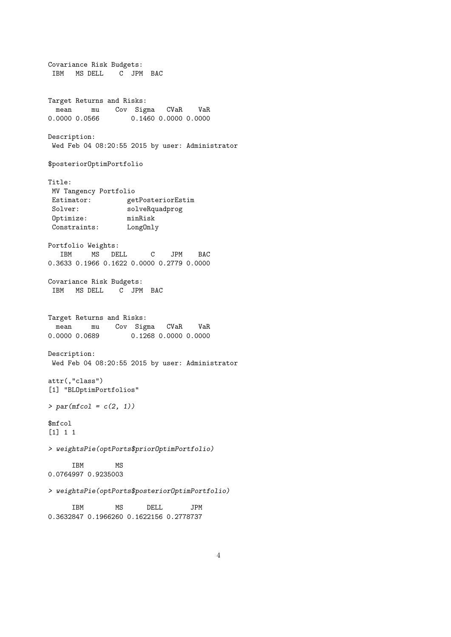Covariance Risk Budgets: IBM MS DELL C JPM BAC Target Returns and Risks: mean mu Cov Sigma CVaR VaR<br>0.0000 0.0566 0.1460 0.0000 0.0000 0.1460 0.0000 0.0000 Description: Wed Feb 04 08:20:55 2015 by user: Administrator \$posteriorOptimPortfolio Title: MV Tangency Portfolio Estimator: getPosteriorEstim Solver: solveRquadprog Optimize: minRisk Constraints: LongOnly Portfolio Weights: IBM MS DELL C JPM BAC 0.3633 0.1966 0.1622 0.0000 0.2779 0.0000 Covariance Risk Budgets: IBM MS DELL C JPM BAC Target Returns and Risks: mean mu Cov Sigma CVaR VaR<br>0000.0.0680. 0.1368.0.000.0.0000 0.0000 0.0689 0.1268 0.0000 0.0000 Description: Wed Feb 04 08:20:55 2015 by user: Administrator attr(,"class") [1] "BLOptimPortfolios"  $> par(mfcol = c(2, 1))$ \$mfcol [1] 1 1 > weightsPie(optPorts\$priorOptimPortfolio) IBM MS 0.0764997 0.9235003 > weightsPie(optPorts\$posteriorOptimPortfolio) IBM MS DELL JPM 0.3632847 0.1966260 0.1622156 0.2778737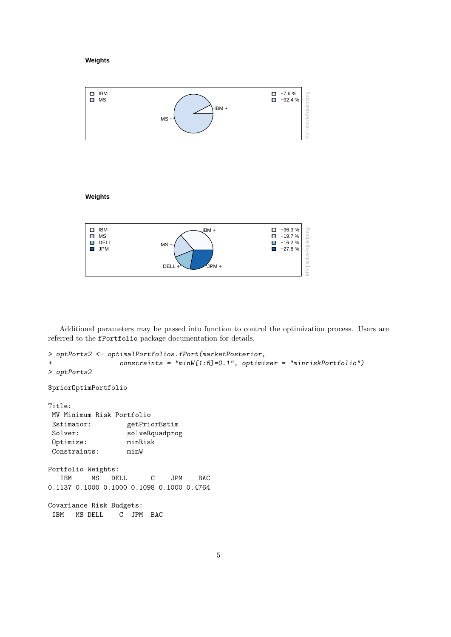#### **Weights**



### **Weights**



Additional parameters may be passed into function to control the optimization process. Users are referred to the fPortfolio package documentation for details.

```
> optPorts2 <- optimalPortfolios.fPort(marketPosterior,
+ constraints = "minW[1:6]=0.1", optimizer = "minriskPortfolio")
> optPorts2
$priorOptimPortfolio
Title:
MV Minimum Risk Portfolio
Estimator: getPriorEstim
Solver: solveRquadprog
Optimize: minRisk
Constraints: minW
Portfolio Weights:
             DELL C JPM BAC
0.1137 0.1000 0.1000 0.1098 0.1000 0.4764
Covariance Risk Budgets:
IBM MS DELL C JPM BAC
```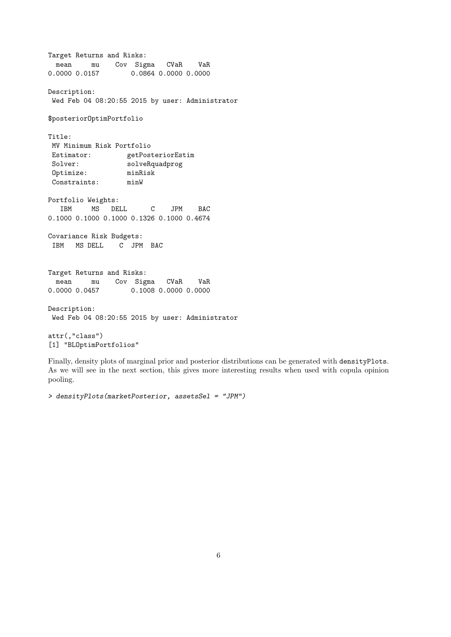Target Returns and Risks: mean mu Cov Sigma CVaR VaR 0.0000 0.0157 0.0864 0.0000 0.0000 Description: Wed Feb 04 08:20:55 2015 by user: Administrator \$posteriorOptimPortfolio Title: MV Minimum Risk Portfolio Estimator: getPosteriorEstim Solver: solveRquadprog<br>0ptimize: minRisk  $\texttt{Optimize:}$ Constraints: minW Portfolio Weights: IBM MS DELL C JPM BAC 0.1000 0.1000 0.1000 0.1326 0.1000 0.4674 Covariance Risk Budgets: IBM MS DELL C JPM BAC Target Returns and Risks: mean mu Cov Sigma CVaR VaR 0.0000 0.0457 0.1008 0.0000 0.0000 Description: Wed Feb 04 08:20:55 2015 by user: Administrator attr(,"class") [1] "BLOptimPortfolios"

Finally, density plots of marginal prior and posterior distributions can be generated with densityPlots. As we will see in the next section, this gives more interesting results when used with copula opinion pooling.

> densityPlots(marketPosterior, assetsSel = "JPM")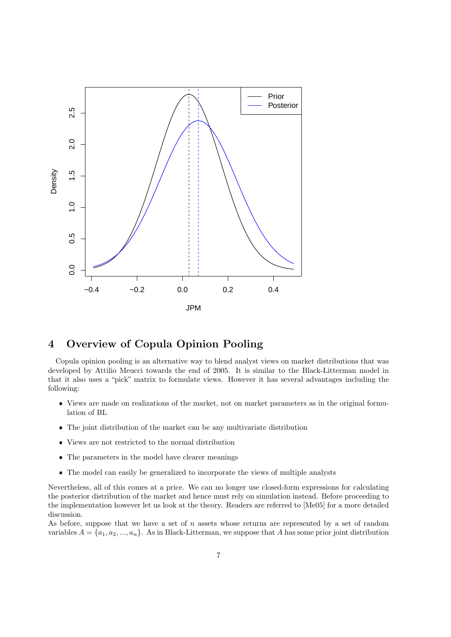

# 4 Overview of Copula Opinion Pooling

Copula opinion pooling is an alternative way to blend analyst views on market distributions that was developed by Attilio Meucci towards the end of 2005. It is similar to the Black-Litterman model in that it also uses a "pick" matrix to formulate views. However it has several advantages including the following:

- Views are made on realizations of the market, not on market parameters as in the original formulation of BL
- The joint distribution of the market can be any multivariate distribution
- Views are not restricted to the normal distribution
- The parameters in the model have clearer meanings
- The model can easily be generalized to incorporate the views of multiple analysts

Nevertheless, all of this comes at a price. We can no longer use closed-form expressions for calculating the posterior distribution of the market and hence must rely on simulation instead. Before proceeding to the implementation however let us look at the theory. Readers are referred to [Me05] for a more detailed discussion.

As before, suppose that we have a set of  $n$  assets whose returns are represented by a set of random variables  $A = \{a_1, a_2, ..., a_n\}$ . As in Black-Litterman, we suppose that A has some prior joint distribution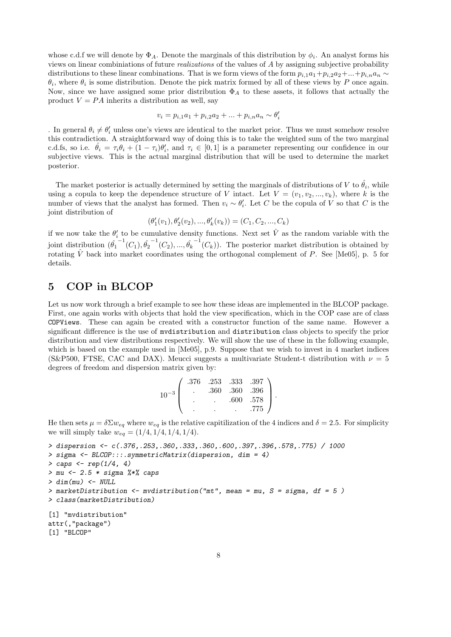whose c.d.f we will denote by  $\Phi_A$ . Denote the marginals of this distribution by  $\phi_i$ . An analyst forms his views on linear combiniations of future realizations of the values of A by assigning subjective probability distributions to these linear combinations. That is we form views of the form  $p_{i,1}a_1+p_{i,2}a_2+...+p_{i,n}a_n \sim$  $\theta_i$ , where  $\theta_i$  is some distribution. Denote the pick matrix formed by all of these views by P once again. Now, since we have assigned some prior distribution  $\Phi_A$  to these assets, it follows that actually the product  $V = PA$  inherits a distribution as well, say

$$
v_i = p_{i,1}a_1 + p_{i,2}a_2 + \dots + p_{i,n}a_n \sim \theta'_i
$$

. In general  $\theta_i \neq \theta'_i$  unless one's views are identical to the market prior. Thus we must somehow resolve this contradiction. A straightforward way of doing this is to take the weighted sum of the two marginal c.d.fs, so i.e.  $\hat{\theta}_i = \tau_i \theta_i + (1 - \tau_i) \theta'_i$ , and  $\tau_i \in [0, 1]$  is a parameter representing our confidence in our subjective views. This is the actual marginal distribution that will be used to determine the market posterior.

The market posterior is actually determined by setting the marginals of distributions of V to  $\hat{\theta}_i$ , while using a copula to keep the dependence structure of V intact. Let  $V = (v_1, v_2, ..., v_k)$ , where k is the number of views that the analyst has formed. Then  $v_i \sim \theta'_i$ . Let C be the copula of V so that C is the joint distribution of

 $(\theta'_1(v_1), \theta'_2(v_2), ..., \theta'_k(v_k)) = (C_1, C_2, ..., C_k)$ 

if we now take the  $\theta_i'$  to be cumulative density functions. Next set  $\hat{V}$  as the random variable with the joint distribution  $(\hat{\theta_1}^{-1}(C_1), \hat{\theta_2}^{-1}(C_2), ..., \hat{\theta_k}^{-1}(C_k))$ . The posterior market distribution is obtained by rotating  $\hat{V}$  back into market coordinates using the orthogonal complement of P. See [Me05], p. 5 for details.

# 5 COP in BLCOP

Let us now work through a brief example to see how these ideas are implemented in the BLCOP package. First, one again works with objects that hold the view specification, which in the COP case are of class COPViews. These can again be created with a constructor function of the same name. However a significant difference is the use of mvdistribution and distribution class objects to specify the prior distribution and view distributions respectively. We will show the use of these in the following example, which is based on the example used in [Me05], p.9. Suppose that we wish to invest in 4 market indices (S&P500, FTSE, CAC and DAX). Meucci suggests a multivariate Student-t distribution with  $\nu = 5$ degrees of freedom and dispersion matrix given by:

| $10^{-3}$ . | .376 |      | .253 .333 .397 |      |  |
|-------------|------|------|----------------|------|--|
|             |      | .360 | .360           | .396 |  |
|             |      |      | .600           | .578 |  |
|             |      |      |                | .775 |  |

He then sets  $\mu = \delta \Sigma w_{eq}$  where  $w_{eq}$  is the relative capitilization of the 4 indices and  $\delta = 2.5$ . For simplicity we will simply take  $w_{eq} = (1/4, 1/4, 1/4, 1/4)$ .

```
> dispersion <- c(.376,.253,.360,.333,.360,.600,.397,.396,.578,.775) / 1000
> sigma <- BLCOP:::.symmetricMatrix(dispersion, dim = 4)
> caps <- rep(1/4, 4)
> mu <- 2.5 * sigma %*% caps
> dim(mu) < - NULL> marketDistribution <- mvdistribution("mt", mean = mu, S = sigma, df = 5 )
> class(marketDistribution)
[1] "mvdistribution"
attr(,"package")
[1] "BLCOP"
```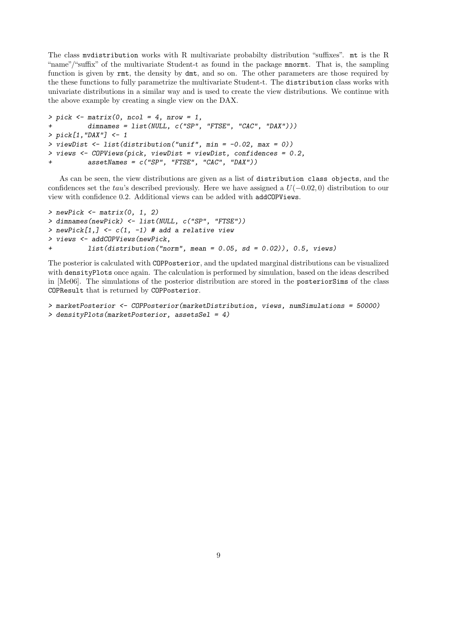The class mvdistribution works with R multivariate probabilty distribution "suffixes". mt is the R "name"/"suffix" of the multivariate Student-t as found in the package mnormt. That is, the sampling function is given by  $rmt$ , the density by dmt, and so on. The other parameters are those required by the these functions to fully parametrize the multivariate Student-t. The distribution class works with univariate distributions in a similar way and is used to create the view distributions. We continue with the above example by creating a single view on the DAX.

```
> pick <math>~</math> matrix(0, ncol = 4, nrow = 1,dimnames = list(NULL, c("SP", "FTSE", "CAC", "DAX"))> pick[1,"DAX"] <- 1
> viewDist <- list(distribution("unif", min = -0.02, max = 0))
> views <- COPViews(pick, viewDist = viewDist, confidences = 0.2,
          assertNames = c("SP", "FTSE", "CAC", "DAX"))
```
As can be seen, the view distributions are given as a list of distribution class objects, and the confidences set the tau's described previously. Here we have assigned a  $U(-0.02, 0)$  distribution to our view with confidence 0.2. Additional views can be added with addCOPViews.

```
> newPick \leq matrix(0, 1, 2)
> dimnames(newPick) <- list(NULL, c("SP", "FTSE"))
> newPick[1, ] \leftarrow c(1, -1) # add a relative view
> views <- addCOPViews(newPick,
          list(distribution("norm", mean = 0.05, sd = 0.02)), 0.5, views)
```
The posterior is calculated with COPPosterior, and the updated marginal distributions can be visualized with densityPlots once again. The calculation is performed by simulation, based on the ideas described in [Me06]. The simulations of the posterior distribution are stored in the posteriorSims of the class COPResult that is returned by COPPosterior.

```
> marketPosterior <- COPPosterior(marketDistribution, views, numSimulations = 50000)
> densityPlots(marketPosterior, assetsSel = 4)
```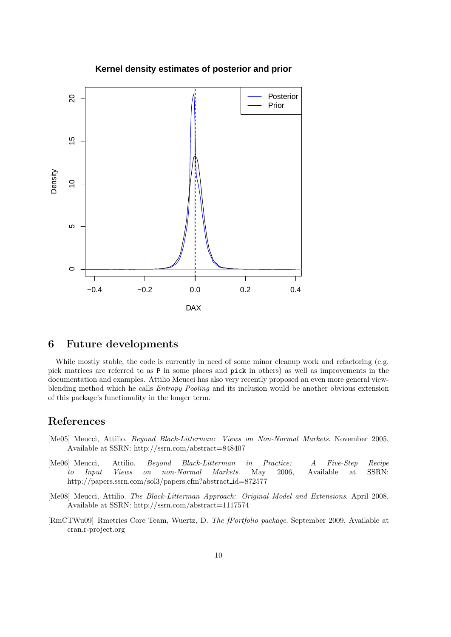

### **Kernel density estimates of posterior and prior**

### 6 Future developments

While mostly stable, the code is currently in need of some minor cleanup work and refactoring (e.g. pick matrices are referred to as P in some places and pick in others) as well as improvements in the documentation and examples. Attilio Meucci has also very recently proposed an even more general viewblending method which he calls *Entropy Pooling* and its inclusion would be another obvious extension of this package's functionality in the longer term.

# References

- [Me05] Meucci, Attilio. Beyond Black-Litterman: Views on Non-Normal Markets. November 2005, Available at SSRN: http://ssrn.com/abstract=848407
- [Me06] Meucci, Attilio. Beyond Black-Litterman in Practice: A Five-Step Recipe to Input Views on non-Normal Markets. May 2006, Available at SSRN: http://papers.ssrn.com/sol3/papers.cfm?abstract id=872577
- [Me08] Meucci, Attilio. The Black-Litterman Approach: Original Model and Extensions. April 2008, Available at SSRN: http://ssrn.com/abstract=1117574
- [RmCTWu09] Rmetrics Core Team, Wuertz, D. The fPortfolio package. September 2009, Available at cran.r-project.org